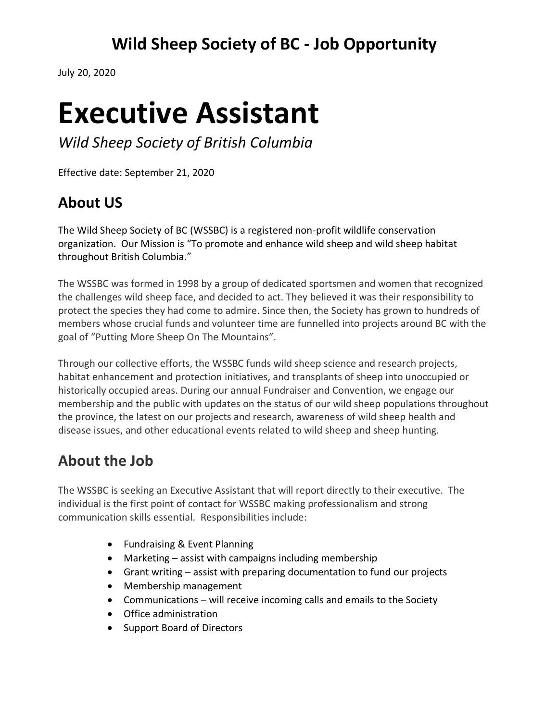# **Wild Sheep Society of BC - Job Opportunity**

July 20, 2020

# **Executive Assistant**

*Wild Sheep Society of British Columbia*

Effective date: September 21, 2020

# **About US**

The Wild Sheep Society of BC (WSSBC) is a registered non-profit wildlife conservation organization. Our Mission is "To promote and enhance wild sheep and wild sheep habitat throughout British Columbia."

The WSSBC was formed in 1998 by a group of dedicated sportsmen and women that recognized the challenges wild sheep face, and decided to act. They believed it was their responsibility to protect the species they had come to admire. Since then, the Society has grown to hundreds of members whose crucial funds and volunteer time are funnelled into projects around BC with the goal of "Putting More Sheep On The Mountains".

Through our collective efforts, the WSSBC funds wild sheep science and research projects, habitat enhancement and protection initiatives, and transplants of sheep into unoccupied or historically occupied areas. During our annual Fundraiser and Convention, we engage our membership and the public with updates on the status of our wild sheep populations throughout the province, the latest on our projects and research, awareness of wild sheep health and disease issues, and other educational events related to wild sheep and sheep hunting.

## **About the Job**

The WSSBC is seeking an Executive Assistant that will report directly to their executive. The individual is the first point of contact for WSSBC making professionalism and strong communication skills essential. Responsibilities include:

- Fundraising & Event Planning
- Marketing assist with campaigns including membership
- Grant writing assist with preparing documentation to fund our projects
- Membership management
- Communications will receive incoming calls and emails to the Society
- Office administration
- Support Board of Directors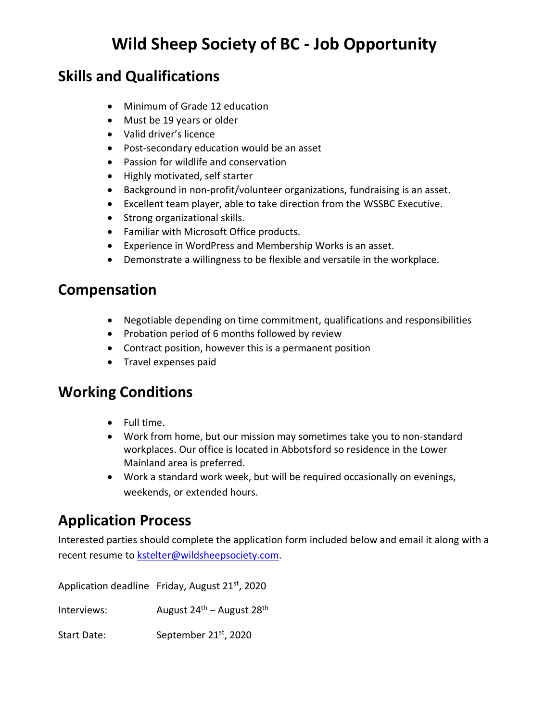#### **Skills and Qualifications**

- Minimum of Grade 12 education
- Must be 19 years or older
- Valid driver's licence
- Post-secondary education would be an asset
- Passion for wildlife and conservation
- Highly motivated, self starter
- Background in non-profit/volunteer organizations, fundraising is an asset.
- Excellent team player, able to take direction from the WSSBC Executive.
- Strong organizational skills.
- Familiar with Microsoft Office products.
- Experience in WordPress and Membership Works is an asset.
- Demonstrate a willingness to be flexible and versatile in the workplace.

#### **Compensation**

- Negotiable depending on time commitment, qualifications and responsibilities
- Probation period of 6 months followed by review
- Contract position, however this is a permanent position
- Travel expenses paid

#### **Working Conditions**

- Full time.
- Work from home, but our mission may sometimes take you to non-standard workplaces. Our office is located in Abbotsford so residence in the Lower Mainland area is preferred.
- Work a standard work week, but will be required occasionally on evenings, weekends, or extended hours.

## **Application Process**

Interested parties should complete the application form included below and email it along with a recent resume to [kstelter@wildsheepsociety.com.](mailto:kstelter@wildsheepsociety.com)

Application deadline Friday, August 21<sup>st</sup>, 2020

Interviews:  $\frac{1}{24}$  August 24<sup>th</sup> – August 28<sup>th</sup>

Start Date: September 21<sup>st</sup>, 2020